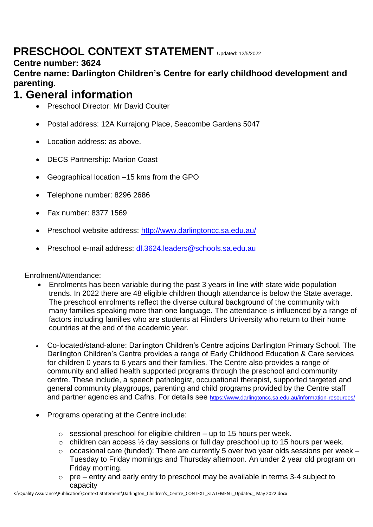# **PRESCHOOL CONTEXT STATEMENT** Updated: 12/5/2022

#### **Centre number: 3624**

#### **Centre name: Darlington Children's Centre for early childhood development and parenting.**

### **1. General information**

- Preschool Director: Mr David Coulter
- Postal address: 12A Kurrajong Place, Seacombe Gardens 5047
- Location address: as above.
- DECS Partnership: Marion Coast
- Geographical location –15 kms from the GPO
- Telephone number: 8296 2686
- Fax number: 8377 1569
- Preschool website address:<http://www.darlingtoncc.sa.edu.au/>
- Preschool e-mail address: [dl.3624.leaders@schools.sa.edu.au](mailto:dl.3624.leaders@schools.sa.edu.au)

Enrolment/Attendance:

- Enrolments has been variable during the past 3 years in line with state wide population trends. In 2022 there are 48 eligible children though attendance is below the State average. The preschool enrolments reflect the diverse cultural background of the community with many families speaking more than one language. The attendance is influenced by a range of factors including families who are students at Flinders University who return to their home countries at the end of the academic year.
- Co-located/stand-alone: Darlington Children's Centre adjoins Darlington Primary School. The Darlington Children's Centre provides a range of Early Childhood Education & Care services for children 0 years to 6 years and their families. The Centre also provides a range of community and allied health supported programs through the preschool and community centre. These include, a speech pathologist, occupational therapist, supported targeted and general community playgroups, parenting and child programs provided by the Centre staff and partner agencies and Cafhs. For details see <https://www.darlingtoncc.sa.edu.au/information-resources/>
- Programs operating at the Centre include:
	- $\circ$  sessional preschool for eligible children up to 15 hours per week.
	- o children can access ½ day sessions or full day preschool up to 15 hours per week.
	- $\circ$  occasional care (funded): There are currently 5 over two year olds sessions per week Tuesday to Friday mornings and Thursday afternoon. An under 2 year old program on Friday morning.
	- $\circ$  pre entry and early entry to preschool may be available in terms 3-4 subject to capacity

K:\Quality Assurance\Publication\Context Statement\Darlington\_Children's\_Centre\_CONTEXT\_STATEMENT\_Updated\_ May 2022.docx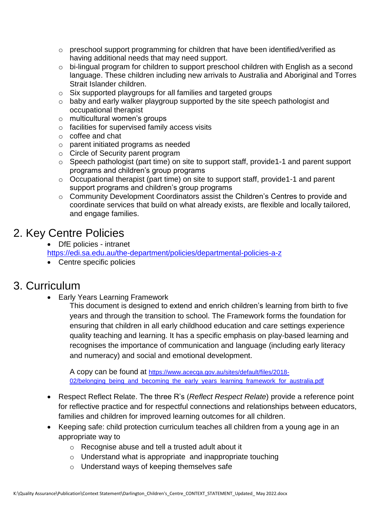- o preschool support programming for children that have been identified/verified as having additional needs that may need support.
- o bi-lingual program for children to support preschool children with English as a second language. These children including new arrivals to Australia and Aboriginal and Torres Strait Islander children.
- o Six supported playgroups for all families and targeted groups
- o baby and early walker playgroup supported by the site speech pathologist and occupational therapist
- o multicultural women's groups
- o facilities for supervised family access visits
- o coffee and chat
- o parent initiated programs as needed
- o Circle of Security parent program
- o Speech pathologist (part time) on site to support staff, provide1-1 and parent support programs and children's group programs
- o Occupational therapist (part time) on site to support staff, provide1-1 and parent support programs and children's group programs
- o Community Development Coordinators assist the Children's Centres to provide and coordinate services that build on what already exists, are flexible and locally tailored, and engage families.

# 2. Key Centre Policies

• DfE policies - intranet

<https://edi.sa.edu.au/the-department/policies/departmental-policies-a-z>

• Centre specific policies

### 3. Curriculum

Early Years Learning Framework

This document is designed to extend and enrich children's learning from birth to five years and through the transition to school. The Framework forms the foundation for ensuring that children in all early childhood education and care settings experience quality teaching and learning. It has a specific emphasis on play-based learning and recognises the importance of communication and language (including early literacy and numeracy) and social and emotional development.

A copy can be found at [https://www.acecqa.gov.au/sites/default/files/2018-](https://www.acecqa.gov.au/sites/default/files/2018-02/belonging_being_and_becoming_the_early_years_learning_framework_for_australia.pdf) [02/belonging\\_being\\_and\\_becoming\\_the\\_early\\_years\\_learning\\_framework\\_for\\_australia.pdf](https://www.acecqa.gov.au/sites/default/files/2018-02/belonging_being_and_becoming_the_early_years_learning_framework_for_australia.pdf)

- Respect Reflect Relate. The three R's (*Reflect Respect Relate*) provide a reference point for reflective practice and for respectful connections and relationships between educators, families and children for improved learning outcomes for all children.
- Keeping safe: child protection curriculum teaches all children from a young age in an appropriate way to
	- o Recognise abuse and tell a trusted adult about it
	- o Understand what is appropriate and inappropriate touching
	- o Understand ways of keeping themselves safe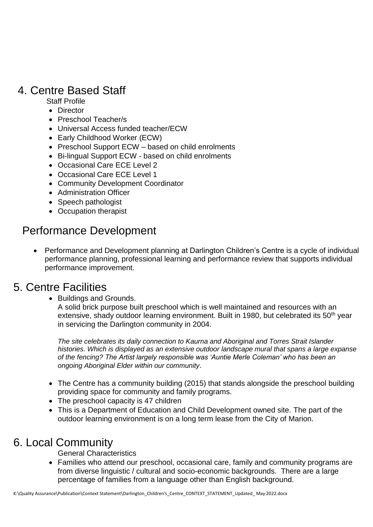# 4. Centre Based Staff

Staff Profile

- Director
- Preschool Teacher/s
- Universal Access funded teacher/ECW
- Early Childhood Worker (ECW)
- Preschool Support ECW based on child enrolments
- Bi-lingual Support ECW based on child enrolments
- Occasional Care ECE Level 2
- Occasional Care ECE Level 1
- Community Development Coordinator
- Administration Officer
- Speech pathologist
- Occupation therapist

# Performance Development

 Performance and Development planning at Darlington Children's Centre is a cycle of individual performance planning, professional learning and performance review that supports individual performance improvement.

#### 5. Centre Facilities

Buildings and Grounds.

A solid brick purpose built preschool which is well maintained and resources with an extensive, shady outdoor learning environment. Built in 1980, but celebrated its 50<sup>th</sup> year in servicing the Darlington community in 2004.

*The site celebrates its daily connection to Kaurna and Aboriginal and Torres Strait Islander histories. Which is displayed as an extensive outdoor landscape mural that spans a large expanse of the fencing? The Artist largely responsible was 'Auntie Merle Coleman' who has been an ongoing Aboriginal Elder within our community*.

- The Centre has a community building (2015) that stands alongside the preschool building providing space for community and family programs.
- The preschool capacity is 47 children
- This is a Department of Education and Child Development owned site. The part of the outdoor learning environment is on a long term lease from the City of Marion.

# 6. Local Community

General Characteristics

 Families who attend our preschool, occasional care, family and community programs are from diverse linguistic / cultural and socio-economic backgrounds. There are a large percentage of families from a language other than English background.